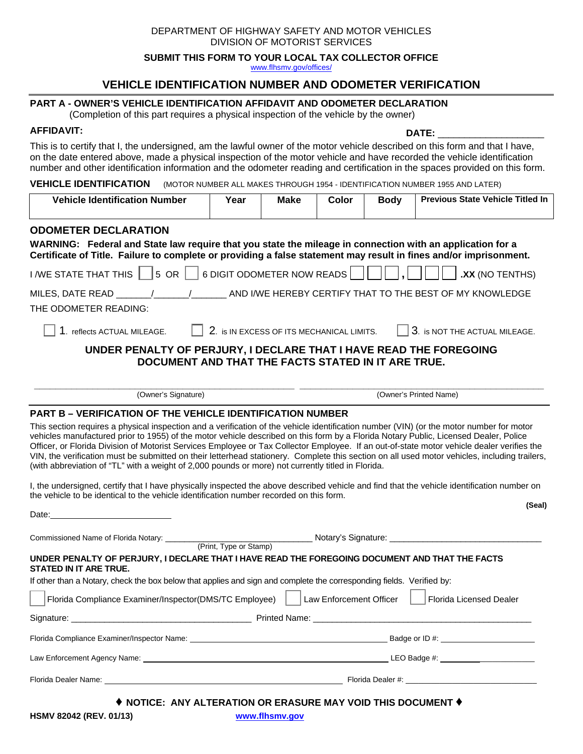| DEPARTMENT OF HIGHWAY SAFETY AND MOTOR VEHICLES |
|-------------------------------------------------|
| DIVISION OF MOTORIST SERVICES                   |

**SUBMIT THIS FORM TO YOUR LOCAL TAX COLLECTOR OFFICE** 

www.flhsmv.gov/offices/

# **VEHICLE IDENTIFICATION NUMBER AND ODOMETER VERIFICATION**

### **PART A - OWNER'S VEHICLE IDENTIFICATION AFFIDAVIT AND ODOMETER DECLARATION**

(Completion of this part requires a physical inspection of the vehicle by the owner)

# **AFFIDAVIT: DATE:** \_\_\_\_\_\_\_\_\_\_\_\_\_\_\_\_\_\_\_\_

This is to certify that I, the undersigned, am the lawful owner of the motor vehicle described on this form and that I have, on the date entered above, made a physical inspection of the motor vehicle and have recorded the vehicle identification number and other identification information and the odometer reading and certification in the spaces provided on this form.

**VEHICLE IDENTIFICATION** (MOTOR NUMBER ALL MAKES THROUGH 1954 - IDENTIFICATION NUMBER 1955 AND LATER)

| <b>Vehicle Identification Number</b>                                                                                                                                                                                                                                                                                                                                                                                                                                                                                                                                                                                                                                                                                                                                                                                                                                                                                                                                                                                                                                                                                                                                        | Year                                                                                                                                                                                                                                 | <b>Make</b> | Color                   | <b>Body</b> | <b>Previous State Vehicle Titled In</b> |  |
|-----------------------------------------------------------------------------------------------------------------------------------------------------------------------------------------------------------------------------------------------------------------------------------------------------------------------------------------------------------------------------------------------------------------------------------------------------------------------------------------------------------------------------------------------------------------------------------------------------------------------------------------------------------------------------------------------------------------------------------------------------------------------------------------------------------------------------------------------------------------------------------------------------------------------------------------------------------------------------------------------------------------------------------------------------------------------------------------------------------------------------------------------------------------------------|--------------------------------------------------------------------------------------------------------------------------------------------------------------------------------------------------------------------------------------|-------------|-------------------------|-------------|-----------------------------------------|--|
| <b>ODOMETER DECLARATION</b><br>WARNING: Federal and State law require that you state the mileage in connection with an application for a<br>Certificate of Title. Failure to complete or providing a false statement may result in fines and/or imprisonment.                                                                                                                                                                                                                                                                                                                                                                                                                                                                                                                                                                                                                                                                                                                                                                                                                                                                                                               |                                                                                                                                                                                                                                      |             |                         |             |                                         |  |
| I /WE STATE THAT THIS $\parallel$ $\parallel$ 5 OR $\parallel$ $\parallel$<br>6 DIGIT ODOMETER NOW READS<br>.XX (NO TENTHS)                                                                                                                                                                                                                                                                                                                                                                                                                                                                                                                                                                                                                                                                                                                                                                                                                                                                                                                                                                                                                                                 |                                                                                                                                                                                                                                      |             |                         |             |                                         |  |
|                                                                                                                                                                                                                                                                                                                                                                                                                                                                                                                                                                                                                                                                                                                                                                                                                                                                                                                                                                                                                                                                                                                                                                             |                                                                                                                                                                                                                                      |             |                         |             |                                         |  |
| THE ODOMETER READING:                                                                                                                                                                                                                                                                                                                                                                                                                                                                                                                                                                                                                                                                                                                                                                                                                                                                                                                                                                                                                                                                                                                                                       |                                                                                                                                                                                                                                      |             |                         |             |                                         |  |
| 2. is IN EXCESS OF ITS MECHANICAL LIMITS.<br>3. is NOT THE ACTUAL MILEAGE.<br>1. reflects ACTUAL MILEAGE.                                                                                                                                                                                                                                                                                                                                                                                                                                                                                                                                                                                                                                                                                                                                                                                                                                                                                                                                                                                                                                                                   |                                                                                                                                                                                                                                      |             |                         |             |                                         |  |
| UNDER PENALTY OF PERJURY, I DECLARE THAT I HAVE READ THE FOREGOING<br>DOCUMENT AND THAT THE FACTS STATED IN IT ARE TRUE.                                                                                                                                                                                                                                                                                                                                                                                                                                                                                                                                                                                                                                                                                                                                                                                                                                                                                                                                                                                                                                                    |                                                                                                                                                                                                                                      |             |                         |             |                                         |  |
| (Owner's Signature)                                                                                                                                                                                                                                                                                                                                                                                                                                                                                                                                                                                                                                                                                                                                                                                                                                                                                                                                                                                                                                                                                                                                                         | (Owner's Printed Name)                                                                                                                                                                                                               |             |                         |             |                                         |  |
| This section requires a physical inspection and a verification of the vehicle identification number (VIN) (or the motor number for motor<br>vehicles manufactured prior to 1955) of the motor vehicle described on this form by a Florida Notary Public, Licensed Dealer, Police<br>Officer, or Florida Division of Motorist Services Employee or Tax Collector Employee. If an out-of-state motor vehicle dealer verifies the<br>VIN, the verification must be submitted on their letterhead stationery. Complete this section on all used motor vehicles, including trailers,<br>(with abbreviation of "TL" with a weight of 2,000 pounds or more) not currently titled in Florida.<br>I, the undersigned, certify that I have physically inspected the above described vehicle and find that the vehicle identification number on<br>the vehicle to be identical to the vehicle identification number recorded on this form.<br>(Seal)<br>Date: the contract of the contract of the contract of the contract of the contract of the contract of the contract of the contract of the contract of the contract of the contract of the contract of the contract of the cont |                                                                                                                                                                                                                                      |             |                         |             |                                         |  |
| (Print, Type or Stamp)<br>UNDER PENALTY OF PERJURY, I DECLARE THAT I HAVE READ THE FOREGOING DOCUMENT AND THAT THE FACTS<br>STATED IN IT ARE TRUE.                                                                                                                                                                                                                                                                                                                                                                                                                                                                                                                                                                                                                                                                                                                                                                                                                                                                                                                                                                                                                          |                                                                                                                                                                                                                                      |             |                         |             |                                         |  |
| If other than a Notary, check the box below that applies and sign and complete the corresponding fields. Verified by:                                                                                                                                                                                                                                                                                                                                                                                                                                                                                                                                                                                                                                                                                                                                                                                                                                                                                                                                                                                                                                                       |                                                                                                                                                                                                                                      |             |                         |             |                                         |  |
| Florida Compliance Examiner/Inspector(DMS/TC Employee)                                                                                                                                                                                                                                                                                                                                                                                                                                                                                                                                                                                                                                                                                                                                                                                                                                                                                                                                                                                                                                                                                                                      |                                                                                                                                                                                                                                      |             | Law Enforcement Officer |             | <b>Florida Licensed Dealer</b>          |  |
| Signature:<br><b>Printed Name:</b>                                                                                                                                                                                                                                                                                                                                                                                                                                                                                                                                                                                                                                                                                                                                                                                                                                                                                                                                                                                                                                                                                                                                          |                                                                                                                                                                                                                                      |             |                         |             |                                         |  |
|                                                                                                                                                                                                                                                                                                                                                                                                                                                                                                                                                                                                                                                                                                                                                                                                                                                                                                                                                                                                                                                                                                                                                                             |                                                                                                                                                                                                                                      |             |                         |             |                                         |  |
|                                                                                                                                                                                                                                                                                                                                                                                                                                                                                                                                                                                                                                                                                                                                                                                                                                                                                                                                                                                                                                                                                                                                                                             |                                                                                                                                                                                                                                      |             |                         |             |                                         |  |
|                                                                                                                                                                                                                                                                                                                                                                                                                                                                                                                                                                                                                                                                                                                                                                                                                                                                                                                                                                                                                                                                                                                                                                             | Florida Dealer Name: <u>New York: New York: New York: New York: New York: New York: New York: New York: New York: New York: New York: New York: New York: New York: New York: New York: New York: New York: New York: New York: </u> |             |                         |             |                                         |  |

**♦ NOTICE: ANY ALTERATION OR ERASURE MAY VOID THIS DOCUMENT ♦**